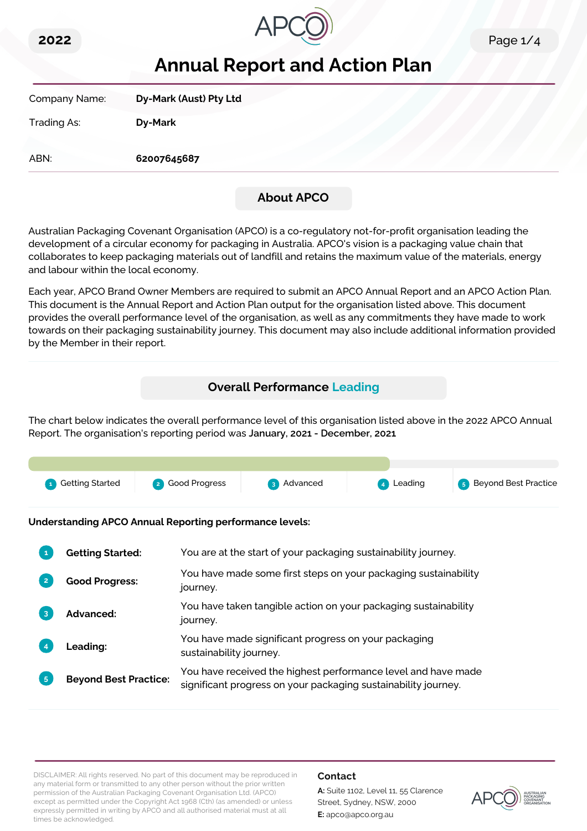



# **Annual Report and Action Plan**

| Company Name: | Dy-Mark (Aust) Pty Ltd |
|---------------|------------------------|
| Trading As:   | <b>Dy-Mark</b>         |
| ABN:          | 62007645687            |

## **About APCO**

Australian Packaging Covenant Organisation (APCO) is a co-regulatory not-for-profit organisation leading the development of a circular economy for packaging in Australia. APCO's vision is a packaging value chain that collaborates to keep packaging materials out of landfill and retains the maximum value of the materials, energy and labour within the local economy.

Each year, APCO Brand Owner Members are required to submit an APCO Annual Report and an APCO Action Plan. This document is the Annual Report and Action Plan output for the organisation listed above. This document provides the overall performance level of the organisation, as well as any commitments they have made to work towards on their packaging sustainability journey. This document may also include additional information provided by the Member in their report.

# **Overall Performance Leading**

The chart below indicates the overall performance level of this organisation listed above in the 2022 APCO Annual Report. The organisation's reporting period was **January, 2021 - December, 2021**.



**Understanding APCO Annual Reporting performance levels:**

|    | <b>Getting Started:</b>      | You are at the start of your packaging sustainability journey.                                                                  |
|----|------------------------------|---------------------------------------------------------------------------------------------------------------------------------|
|    | <b>Good Progress:</b>        | You have made some first steps on your packaging sustainability<br>journey.                                                     |
| 3  | <b>Advanced:</b>             | You have taken tangible action on your packaging sustainability<br>journey.                                                     |
|    | <b>Leading:</b>              | You have made significant progress on your packaging<br>sustainability journey.                                                 |
| 5. | <b>Beyond Best Practice:</b> | You have received the highest performance level and have made<br>significant progress on your packaging sustainability journey. |

DISCLAIMER: All rights reserved. No part of this document may be reproduced in any material form or transmitted to any other person without the prior written permission of the Australian Packaging Covenant Organisation Ltd. (APCO) except as permitted under the Copyright Act 1968 (Cth) (as amended) or unless expressly permitted in writing by APCO and all authorised material must at all times be acknowledged.

#### **Contact**

**A:** Suite 1102, Level 11, 55 Clarence Street, Sydney, NSW, 2000 **E:** apco@apco.org.au

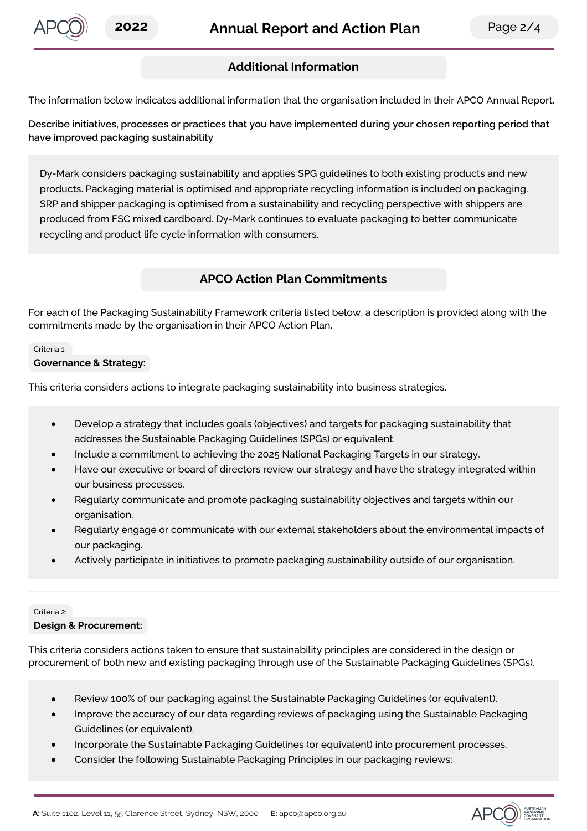

## **Additional Information**

The information below indicates additional information that the organisation included in their APCO Annual Report.

**Describe initiatives, processes or practices that you have implemented during your chosen reporting period that have improved packaging sustainability**

Dy-Mark considers packaging sustainability and applies SPG guidelines to both existing products and new products. Packaging material is optimised and appropriate recycling information is included on packaging. SRP and shipper packaging is optimised from a sustainability and recycling perspective with shippers are produced from FSC mixed cardboard. Dy-Mark continues to evaluate packaging to better communicate recycling and product life cycle information with consumers.

### **APCO Action Plan Commitments**

For each of the Packaging Sustainability Framework criteria listed below, a description is provided along with the commitments made by the organisation in their APCO Action Plan.

#### Criteria 1:

**Governance & Strategy:**

This criteria considers actions to integrate packaging sustainability into business strategies.

- Develop a strategy that includes goals (objectives) and targets for packaging sustainability that addresses the Sustainable Packaging Guidelines (SPGs) or equivalent.
- Include a commitment to achieving the 2025 National Packaging Targets in our strategy.
- Have our executive or board of directors review our strategy and have the strategy integrated within our business processes.
- Regularly communicate and promote packaging sustainability objectives and targets within our organisation.
- Regularly engage or communicate with our external stakeholders about the environmental impacts of our packaging.
- Actively participate in initiatives to promote packaging sustainability outside of our organisation.

#### Criteria 2:

#### **Design & Procurement:**

This criteria considers actions taken to ensure that sustainability principles are considered in the design or procurement of both new and existing packaging through use of the Sustainable Packaging Guidelines (SPGs).

- Review **100**% of our packaging against the Sustainable Packaging Guidelines (or equivalent).
- Improve the accuracy of our data regarding reviews of packaging using the Sustainable Packaging Guidelines (or equivalent).
- Incorporate the Sustainable Packaging Guidelines (or equivalent) into procurement processes.
- Consider the following Sustainable Packaging Principles in our packaging reviews:

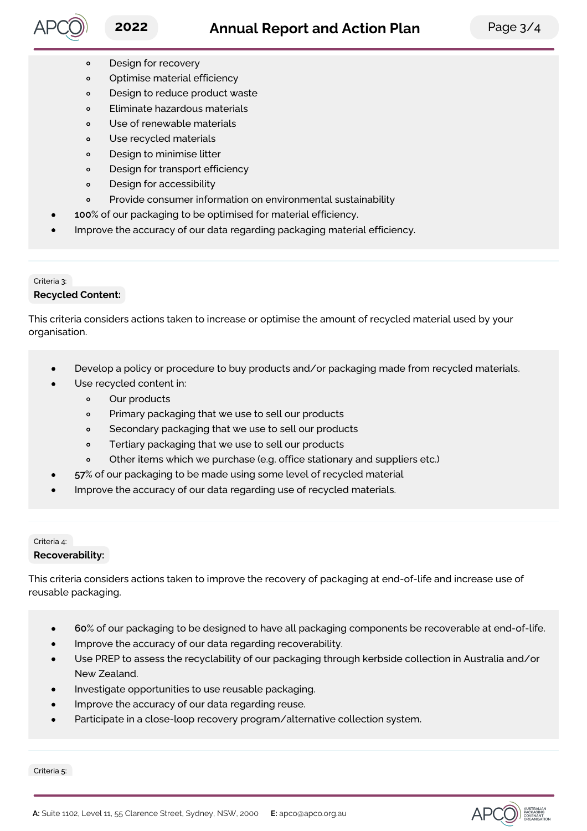

- Design for recovery  $\circ$
- Optimise material efficiency  $\circ$
- Design to reduce product waste  $\circ$
- Eliminate hazardous materials  $\circ$
- Use of renewable materials  $\circ$
- Use recycled materials  $\circ$
- Design to minimise litter  $\circ$
- $\circ$ Design for transport efficiency
- Design for accessibility  $\circ$
- Provide consumer information on environmental sustainability  $\circ$
- **100**% of our packaging to be optimised for material efficiency.
- Improve the accuracy of our data regarding packaging material efficiency.

### Criteria 3: **Recycled Content:**

This criteria considers actions taken to increase or optimise the amount of recycled material used by your organisation.

- Develop a policy or procedure to buy products and/or packaging made from recycled materials.
- Use recycled content in:
	- $\circ$ Our products
	- Primary packaging that we use to sell our products  $\circ$
	- $\circ$ Secondary packaging that we use to sell our products
	- Tertiary packaging that we use to sell our products  $\circ$
	- $\circ$ Other items which we purchase (e.g. office stationary and suppliers etc.)
- **57**% of our packaging to be made using some level of recycled material
- Improve the accuracy of our data regarding use of recycled materials.

### Criteria 4: **Recoverability:**

This criteria considers actions taken to improve the recovery of packaging at end-of-life and increase use of reusable packaging.

- **60**% of our packaging to be designed to have all packaging components be recoverable at end-of-life.
- Improve the accuracy of our data regarding recoverability.
- Use PREP to assess the recyclability of our packaging through kerbside collection in Australia and/or New Zealand.
- Investigate opportunities to use reusable packaging.
- Improve the accuracy of our data regarding reuse.
- Participate in a close-loop recovery program/alternative collection system.

Criteria 5: